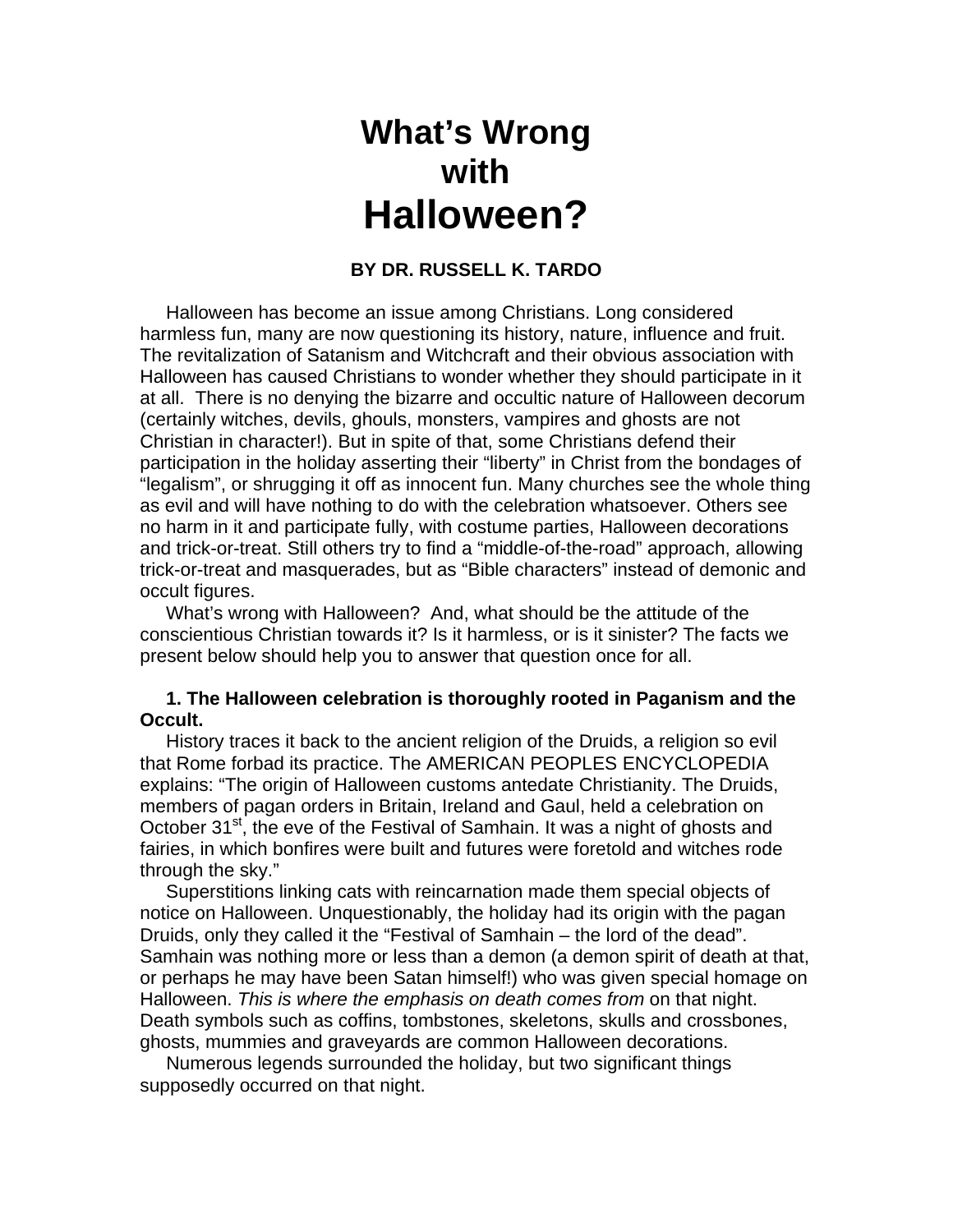# **What's Wrong with Halloween?**

## **BY DR. RUSSELL K. TARDO**

 Halloween has become an issue among Christians. Long considered harmless fun, many are now questioning its history, nature, influence and fruit. The revitalization of Satanism and Witchcraft and their obvious association with Halloween has caused Christians to wonder whether they should participate in it at all. There is no denying the bizarre and occultic nature of Halloween decorum (certainly witches, devils, ghouls, monsters, vampires and ghosts are not Christian in character!). But in spite of that, some Christians defend their participation in the holiday asserting their "liberty" in Christ from the bondages of "legalism", or shrugging it off as innocent fun. Many churches see the whole thing as evil and will have nothing to do with the celebration whatsoever. Others see no harm in it and participate fully, with costume parties, Halloween decorations and trick-or-treat. Still others try to find a "middle-of-the-road" approach, allowing trick-or-treat and masquerades, but as "Bible characters" instead of demonic and occult figures.

 What's wrong with Halloween? And, what should be the attitude of the conscientious Christian towards it? Is it harmless, or is it sinister? The facts we present below should help you to answer that question once for all.

## **1. The Halloween celebration is thoroughly rooted in Paganism and the Occult.**

 History traces it back to the ancient religion of the Druids, a religion so evil that Rome forbad its practice. The AMERICAN PEOPLES ENCYCLOPEDIA explains: "The origin of Halloween customs antedate Christianity. The Druids, members of pagan orders in Britain, Ireland and Gaul, held a celebration on October 31<sup>st</sup>, the eve of the Festival of Samhain. It was a night of ghosts and fairies, in which bonfires were built and futures were foretold and witches rode through the sky."

 Superstitions linking cats with reincarnation made them special objects of notice on Halloween. Unquestionably, the holiday had its origin with the pagan Druids, only they called it the "Festival of Samhain – the lord of the dead". Samhain was nothing more or less than a demon (a demon spirit of death at that, or perhaps he may have been Satan himself!) who was given special homage on Halloween. *This is where the emphasis on death comes from* on that night. Death symbols such as coffins, tombstones, skeletons, skulls and crossbones, ghosts, mummies and graveyards are common Halloween decorations.

 Numerous legends surrounded the holiday, but two significant things supposedly occurred on that night.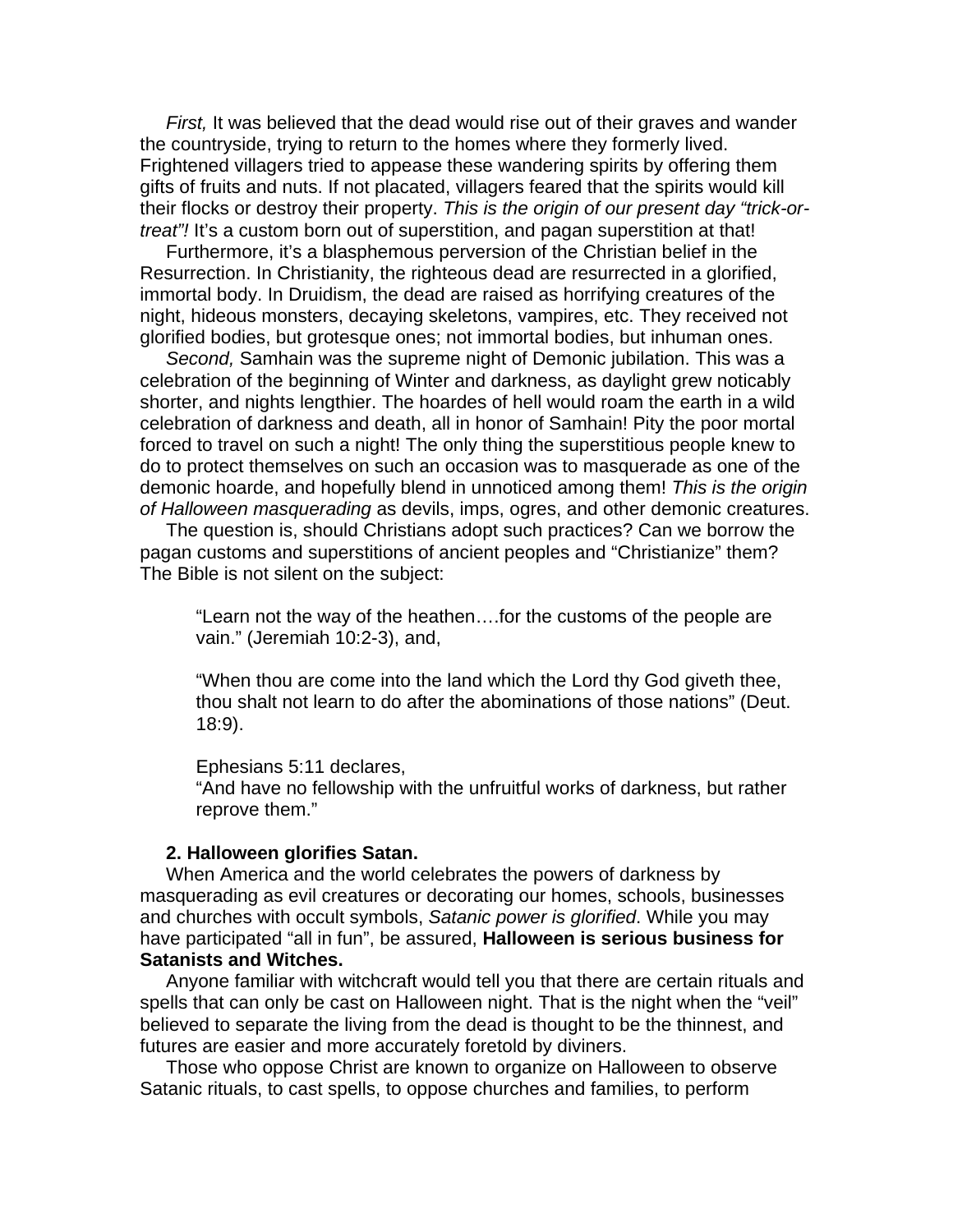*First,* It was believed that the dead would rise out of their graves and wander the countryside, trying to return to the homes where they formerly lived. Frightened villagers tried to appease these wandering spirits by offering them gifts of fruits and nuts. If not placated, villagers feared that the spirits would kill their flocks or destroy their property. *This is the origin of our present day "trick-ortreat"!* It's a custom born out of superstition, and pagan superstition at that!

 Furthermore, it's a blasphemous perversion of the Christian belief in the Resurrection. In Christianity, the righteous dead are resurrected in a glorified, immortal body. In Druidism, the dead are raised as horrifying creatures of the night, hideous monsters, decaying skeletons, vampires, etc. They received not glorified bodies, but grotesque ones; not immortal bodies, but inhuman ones.

 *Second,* Samhain was the supreme night of Demonic jubilation. This was a celebration of the beginning of Winter and darkness, as daylight grew noticably shorter, and nights lengthier. The hoardes of hell would roam the earth in a wild celebration of darkness and death, all in honor of Samhain! Pity the poor mortal forced to travel on such a night! The only thing the superstitious people knew to do to protect themselves on such an occasion was to masquerade as one of the demonic hoarde, and hopefully blend in unnoticed among them! *This is the origin of Halloween masquerading* as devils, imps, ogres, and other demonic creatures.

 The question is, should Christians adopt such practices? Can we borrow the pagan customs and superstitions of ancient peoples and "Christianize" them? The Bible is not silent on the subject:

"Learn not the way of the heathen….for the customs of the people are vain." (Jeremiah 10:2-3), and,

"When thou are come into the land which the Lord thy God giveth thee, thou shalt not learn to do after the abominations of those nations" (Deut. 18:9).

#### Ephesians 5:11 declares,

"And have no fellowship with the unfruitful works of darkness, but rather reprove them."

#### **2. Halloween glorifies Satan.**

 When America and the world celebrates the powers of darkness by masquerading as evil creatures or decorating our homes, schools, businesses and churches with occult symbols, *Satanic power is glorified*. While you may have participated "all in fun", be assured, **Halloween is serious business for Satanists and Witches.** 

 Anyone familiar with witchcraft would tell you that there are certain rituals and spells that can only be cast on Halloween night. That is the night when the "veil" believed to separate the living from the dead is thought to be the thinnest, and futures are easier and more accurately foretold by diviners.

 Those who oppose Christ are known to organize on Halloween to observe Satanic rituals, to cast spells, to oppose churches and families, to perform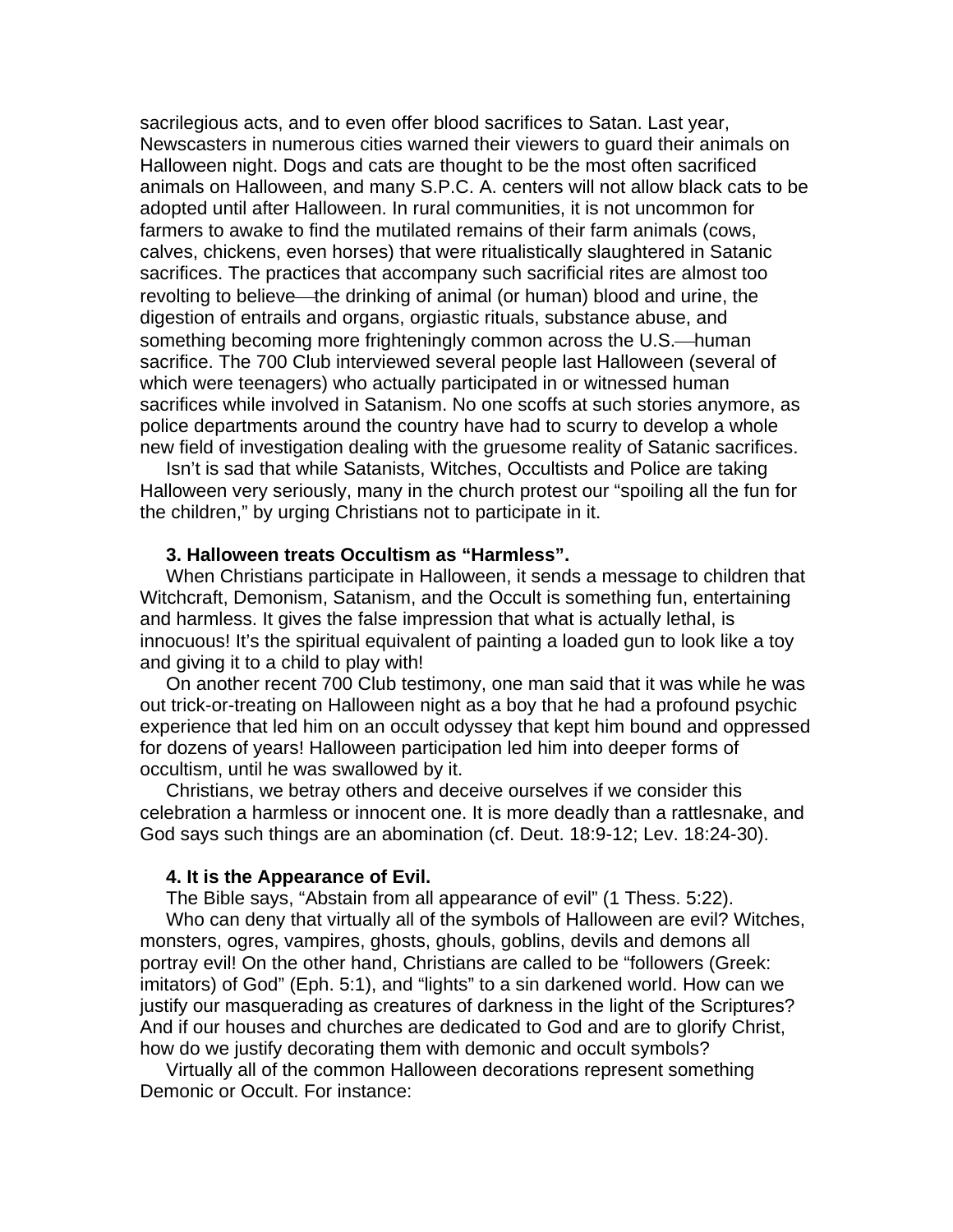sacrilegious acts, and to even offer blood sacrifices to Satan. Last year, Newscasters in numerous cities warned their viewers to guard their animals on Halloween night. Dogs and cats are thought to be the most often sacrificed animals on Halloween, and many S.P.C. A. centers will not allow black cats to be adopted until after Halloween. In rural communities, it is not uncommon for farmers to awake to find the mutilated remains of their farm animals (cows, calves, chickens, even horses) that were ritualistically slaughtered in Satanic sacrifices. The practices that accompany such sacrificial rites are almost too revolting to believe—the drinking of animal (or human) blood and urine, the digestion of entrails and organs, orgiastic rituals, substance abuse, and something becoming more frighteningly common across the U.S.—human sacrifice. The 700 Club interviewed several people last Halloween (several of which were teenagers) who actually participated in or witnessed human sacrifices while involved in Satanism. No one scoffs at such stories anymore, as police departments around the country have had to scurry to develop a whole new field of investigation dealing with the gruesome reality of Satanic sacrifices.

 Isn't is sad that while Satanists, Witches, Occultists and Police are taking Halloween very seriously, many in the church protest our "spoiling all the fun for the children," by urging Christians not to participate in it.

#### **3. Halloween treats Occultism as "Harmless".**

 When Christians participate in Halloween, it sends a message to children that Witchcraft, Demonism, Satanism, and the Occult is something fun, entertaining and harmless. It gives the false impression that what is actually lethal, is innocuous! It's the spiritual equivalent of painting a loaded gun to look like a toy and giving it to a child to play with!

 On another recent 700 Club testimony, one man said that it was while he was out trick-or-treating on Halloween night as a boy that he had a profound psychic experience that led him on an occult odyssey that kept him bound and oppressed for dozens of years! Halloween participation led him into deeper forms of occultism, until he was swallowed by it.

 Christians, we betray others and deceive ourselves if we consider this celebration a harmless or innocent one. It is more deadly than a rattlesnake, and God says such things are an abomination (cf. Deut. 18:9-12; Lev. 18:24-30).

#### **4. It is the Appearance of Evil.**

 The Bible says, "Abstain from all appearance of evil" (1 Thess. 5:22). Who can deny that virtually all of the symbols of Halloween are evil? Witches, monsters, ogres, vampires, ghosts, ghouls, goblins, devils and demons all portray evil! On the other hand, Christians are called to be "followers (Greek: imitators) of God" (Eph. 5:1), and "lights" to a sin darkened world. How can we justify our masquerading as creatures of darkness in the light of the Scriptures? And if our houses and churches are dedicated to God and are to glorify Christ, how do we justify decorating them with demonic and occult symbols?

 Virtually all of the common Halloween decorations represent something Demonic or Occult. For instance: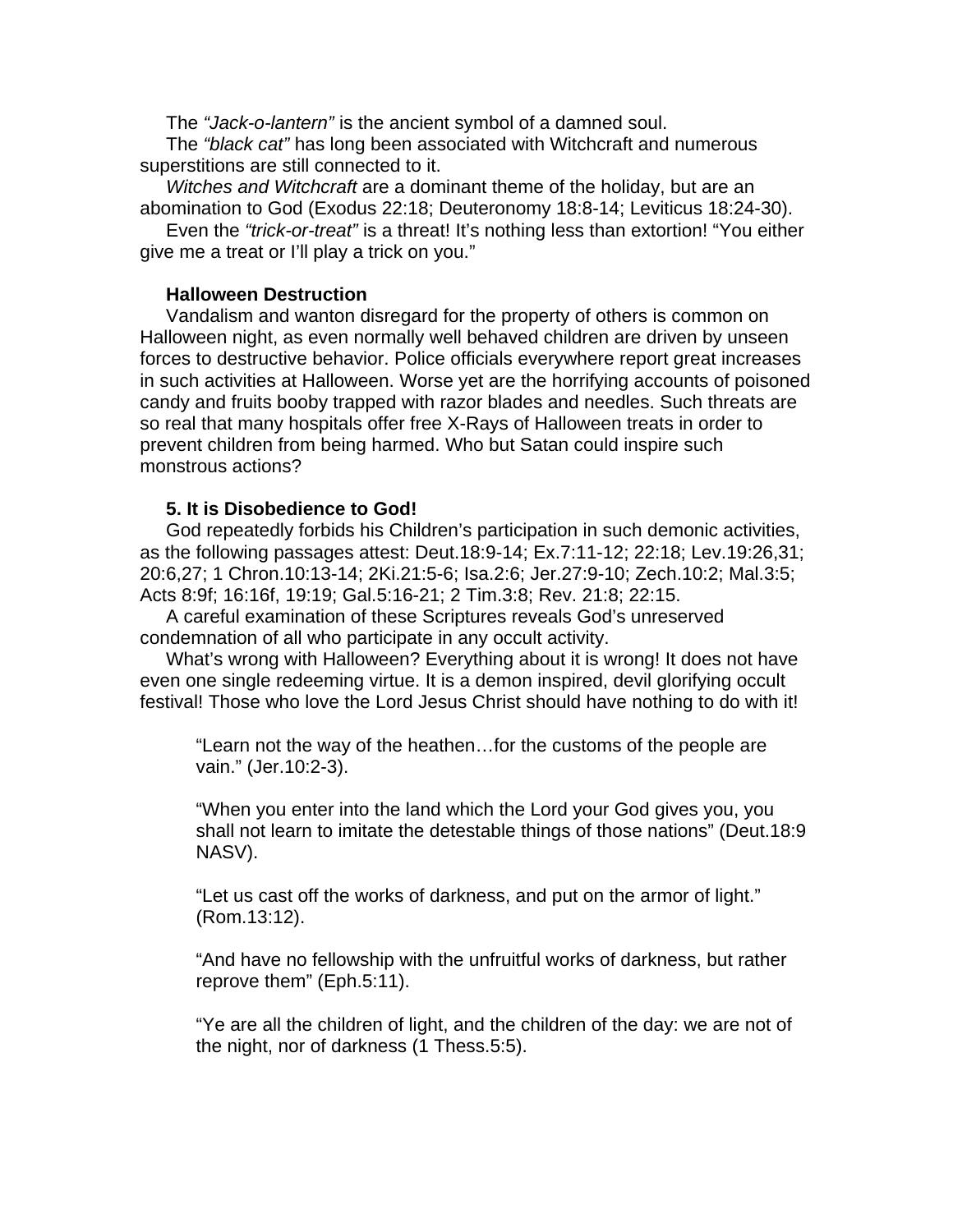The *"Jack-o-lantern"* is the ancient symbol of a damned soul.

 The *"black cat"* has long been associated with Witchcraft and numerous superstitions are still connected to it.

 *Witches and Witchcraft* are a dominant theme of the holiday, but are an abomination to God (Exodus 22:18; Deuteronomy 18:8-14; Leviticus 18:24-30).

 Even the *"trick-or-treat"* is a threat! It's nothing less than extortion! "You either give me a treat or I'll play a trick on you."

#### **Halloween Destruction**

 Vandalism and wanton disregard for the property of others is common on Halloween night, as even normally well behaved children are driven by unseen forces to destructive behavior. Police officials everywhere report great increases in such activities at Halloween. Worse yet are the horrifying accounts of poisoned candy and fruits booby trapped with razor blades and needles. Such threats are so real that many hospitals offer free X-Rays of Halloween treats in order to prevent children from being harmed. Who but Satan could inspire such monstrous actions?

### **5. It is Disobedience to God!**

 God repeatedly forbids his Children's participation in such demonic activities, as the following passages attest: Deut.18:9-14; Ex.7:11-12; 22:18; Lev.19:26,31; 20:6,27; 1 Chron.10:13-14; 2Ki.21:5-6; Isa.2:6; Jer.27:9-10; Zech.10:2; Mal.3:5; Acts 8:9f; 16:16f, 19:19; Gal.5:16-21; 2 Tim.3:8; Rev. 21:8; 22:15.

 A careful examination of these Scriptures reveals God's unreserved condemnation of all who participate in any occult activity.

 What's wrong with Halloween? Everything about it is wrong! It does not have even one single redeeming virtue. It is a demon inspired, devil glorifying occult festival! Those who love the Lord Jesus Christ should have nothing to do with it!

"Learn not the way of the heathen…for the customs of the people are vain." (Jer.10:2-3).

"When you enter into the land which the Lord your God gives you, you shall not learn to imitate the detestable things of those nations" (Deut.18:9 NASV).

"Let us cast off the works of darkness, and put on the armor of light." (Rom.13:12).

"And have no fellowship with the unfruitful works of darkness, but rather reprove them" (Eph.5:11).

"Ye are all the children of light, and the children of the day: we are not of the night, nor of darkness (1 Thess.5:5).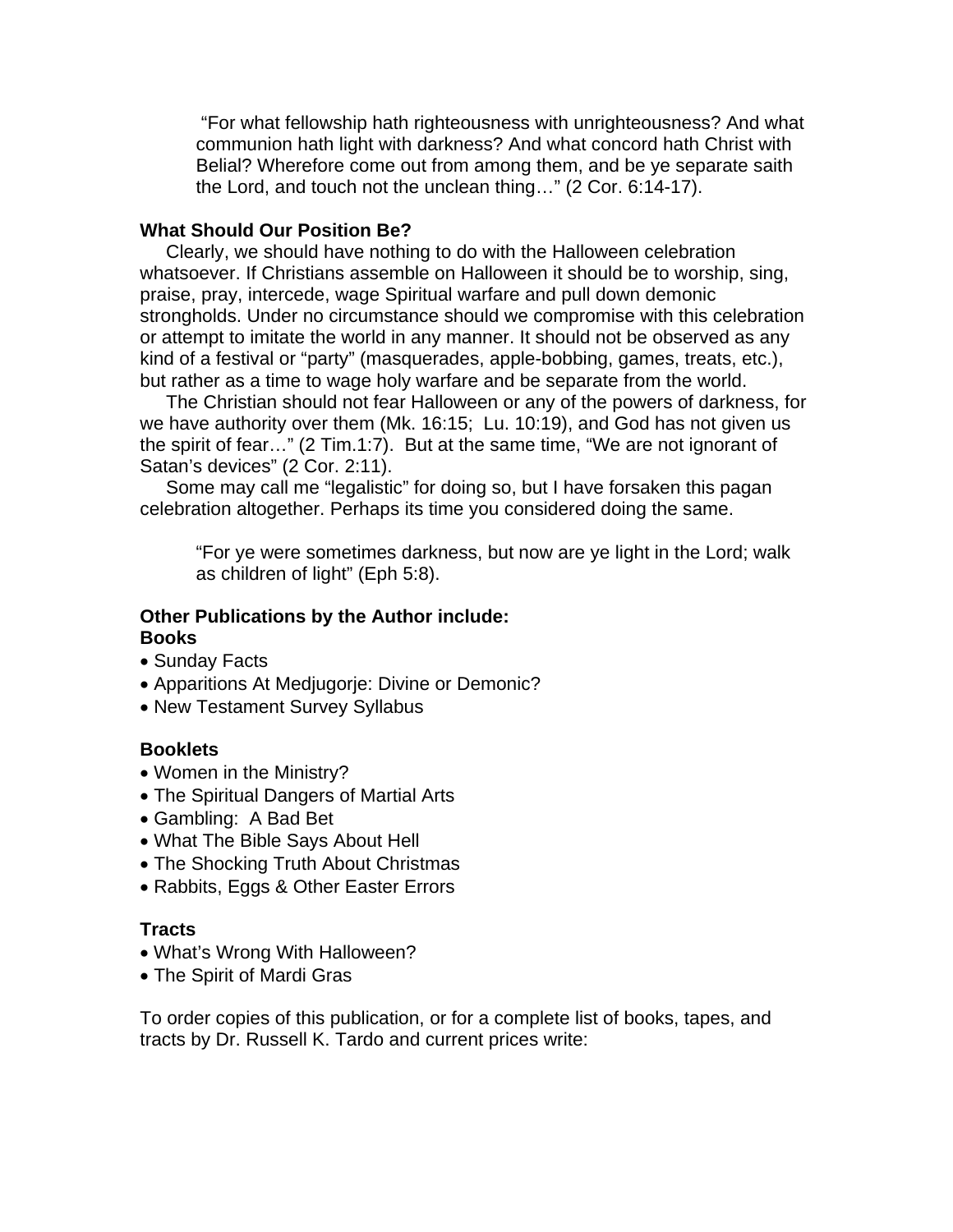"For what fellowship hath righteousness with unrighteousness? And what communion hath light with darkness? And what concord hath Christ with Belial? Wherefore come out from among them, and be ye separate saith the Lord, and touch not the unclean thing…" (2 Cor. 6:14-17).

## **What Should Our Position Be?**

 Clearly, we should have nothing to do with the Halloween celebration whatsoever. If Christians assemble on Halloween it should be to worship, sing, praise, pray, intercede, wage Spiritual warfare and pull down demonic strongholds. Under no circumstance should we compromise with this celebration or attempt to imitate the world in any manner. It should not be observed as any kind of a festival or "party" (masquerades, apple-bobbing, games, treats, etc.), but rather as a time to wage holy warfare and be separate from the world.

 The Christian should not fear Halloween or any of the powers of darkness, for we have authority over them (Mk. 16:15; Lu. 10:19), and God has not given us the spirit of fear…" (2 Tim.1:7). But at the same time, "We are not ignorant of Satan's devices" (2 Cor. 2:11).

 Some may call me "legalistic" for doing so, but I have forsaken this pagan celebration altogether. Perhaps its time you considered doing the same.

"For ye were sometimes darkness, but now are ye light in the Lord; walk as children of light" (Eph 5:8).

#### **Other Publications by the Author include: Books**

- Sunday Facts
- Apparitions At Medjugorje: Divine or Demonic?
- New Testament Survey Syllabus

### **Booklets**

- Women in the Ministry?
- The Spiritual Dangers of Martial Arts
- Gambling: A Bad Bet
- What The Bible Says About Hell
- The Shocking Truth About Christmas
- Rabbits, Eggs & Other Easter Errors

### **Tracts**

- What's Wrong With Halloween?
- The Spirit of Mardi Gras

To order copies of this publication, or for a complete list of books, tapes, and tracts by Dr. Russell K. Tardo and current prices write: